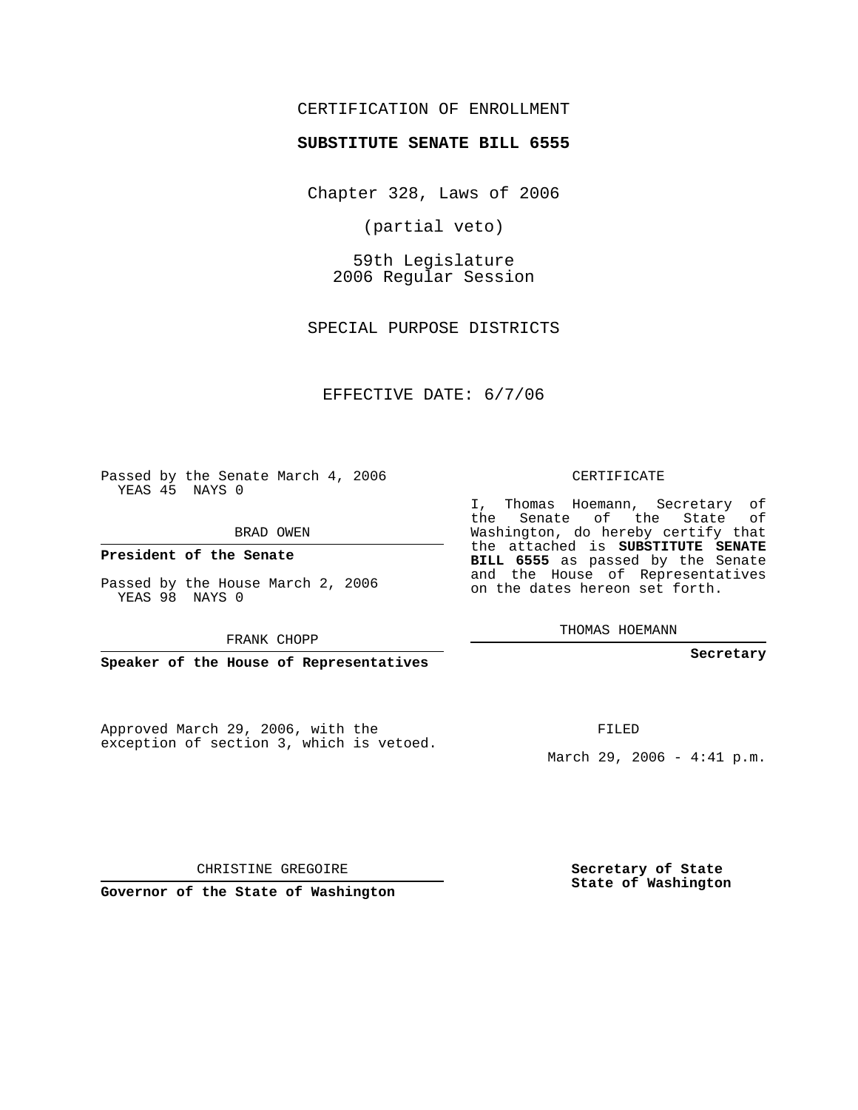## CERTIFICATION OF ENROLLMENT

## **SUBSTITUTE SENATE BILL 6555**

Chapter 328, Laws of 2006

(partial veto)

59th Legislature 2006 Regular Session

SPECIAL PURPOSE DISTRICTS

EFFECTIVE DATE: 6/7/06

Passed by the Senate March 4, 2006 YEAS 45 NAYS 0

BRAD OWEN

**President of the Senate**

Passed by the House March 2, 2006 YEAS 98 NAYS 0

FRANK CHOPP

**Speaker of the House of Representatives**

Approved March 29, 2006, with the exception of section 3, which is vetoed. CERTIFICATE

I, Thomas Hoemann, Secretary of the Senate of the State of Washington, do hereby certify that the attached is **SUBSTITUTE SENATE BILL 6555** as passed by the Senate and the House of Representatives on the dates hereon set forth.

THOMAS HOEMANN

**Secretary**

FILED

March 29, 2006 - 4:41 p.m.

CHRISTINE GREGOIRE

**Governor of the State of Washington**

**Secretary of State State of Washington**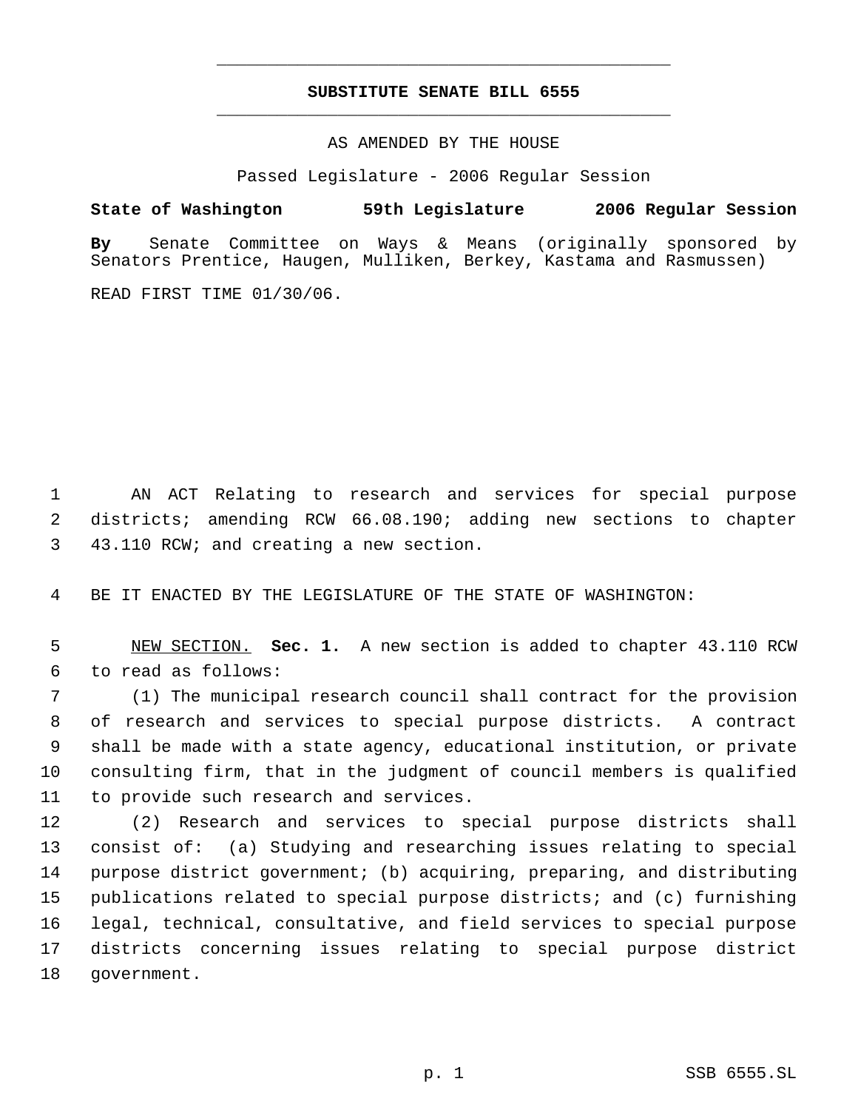## **SUBSTITUTE SENATE BILL 6555** \_\_\_\_\_\_\_\_\_\_\_\_\_\_\_\_\_\_\_\_\_\_\_\_\_\_\_\_\_\_\_\_\_\_\_\_\_\_\_\_\_\_\_\_\_

\_\_\_\_\_\_\_\_\_\_\_\_\_\_\_\_\_\_\_\_\_\_\_\_\_\_\_\_\_\_\_\_\_\_\_\_\_\_\_\_\_\_\_\_\_

AS AMENDED BY THE HOUSE

Passed Legislature - 2006 Regular Session

**State of Washington 59th Legislature 2006 Regular Session**

**By** Senate Committee on Ways & Means (originally sponsored by Senators Prentice, Haugen, Mulliken, Berkey, Kastama and Rasmussen)

READ FIRST TIME 01/30/06.

 AN ACT Relating to research and services for special purpose districts; amending RCW 66.08.190; adding new sections to chapter 43.110 RCW; and creating a new section.

BE IT ENACTED BY THE LEGISLATURE OF THE STATE OF WASHINGTON:

 NEW SECTION. **Sec. 1.** A new section is added to chapter 43.110 RCW to read as follows:

 (1) The municipal research council shall contract for the provision of research and services to special purpose districts. A contract shall be made with a state agency, educational institution, or private consulting firm, that in the judgment of council members is qualified to provide such research and services.

 (2) Research and services to special purpose districts shall consist of: (a) Studying and researching issues relating to special purpose district government; (b) acquiring, preparing, and distributing publications related to special purpose districts; and (c) furnishing legal, technical, consultative, and field services to special purpose districts concerning issues relating to special purpose district government.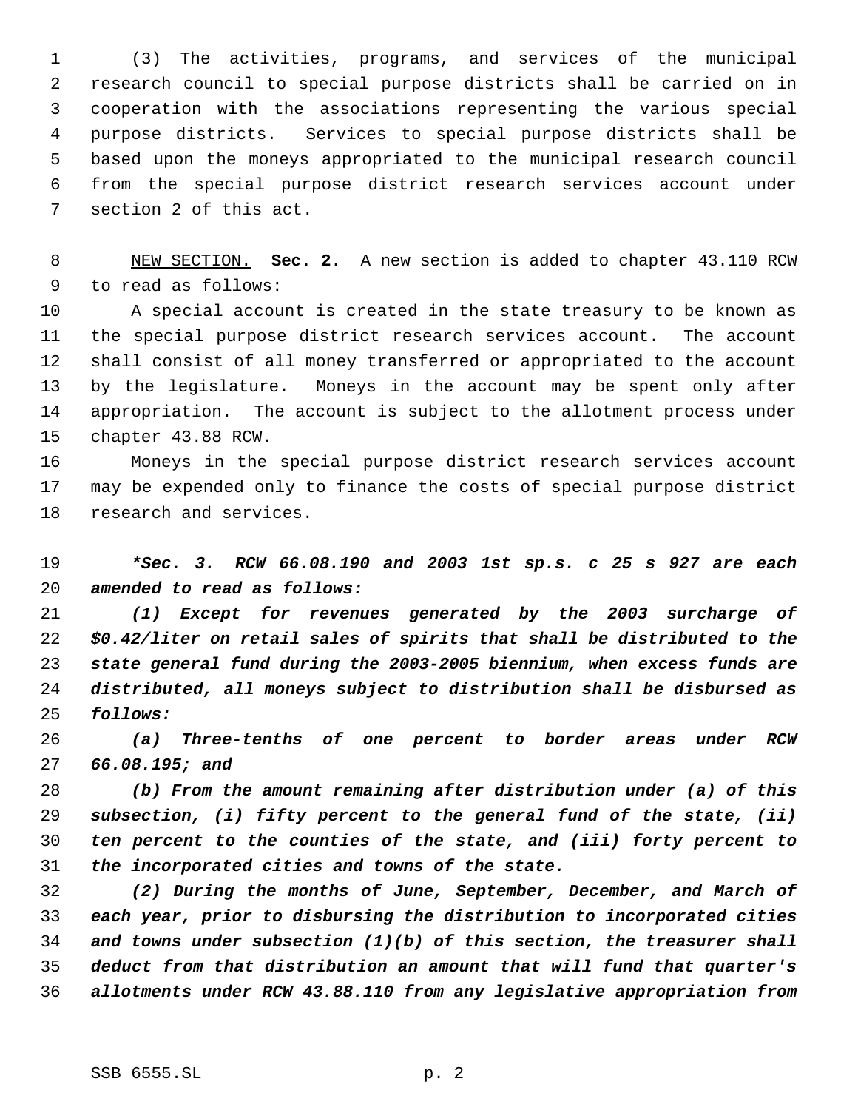(3) The activities, programs, and services of the municipal research council to special purpose districts shall be carried on in cooperation with the associations representing the various special purpose districts. Services to special purpose districts shall be based upon the moneys appropriated to the municipal research council from the special purpose district research services account under section 2 of this act.

 NEW SECTION. **Sec. 2.** A new section is added to chapter 43.110 RCW to read as follows:

 A special account is created in the state treasury to be known as the special purpose district research services account. The account shall consist of all money transferred or appropriated to the account by the legislature. Moneys in the account may be spent only after appropriation. The account is subject to the allotment process under chapter 43.88 RCW.

 Moneys in the special purpose district research services account may be expended only to finance the costs of special purpose district research and services.

 *\*Sec. 3. RCW 66.08.190 and 2003 1st sp.s. c 25 s 927 are each amended to read as follows:*

 *(1) Except for revenues generated by the 2003 surcharge of \$0.42/liter on retail sales of spirits that shall be distributed to the state general fund during the 2003-2005 biennium, when excess funds are distributed, all moneys subject to distribution shall be disbursed as follows:*

 *(a) Three-tenths of one percent to border areas under RCW 66.08.195; and*

 *(b) From the amount remaining after distribution under (a) of this subsection, (i) fifty percent to the general fund of the state, (ii) ten percent to the counties of the state, and (iii) forty percent to the incorporated cities and towns of the state.*

 *(2) During the months of June, September, December, and March of each year, prior to disbursing the distribution to incorporated cities and towns under subsection (1)(b) of this section, the treasurer shall deduct from that distribution an amount that will fund that quarter's allotments under RCW 43.88.110 from any legislative appropriation from*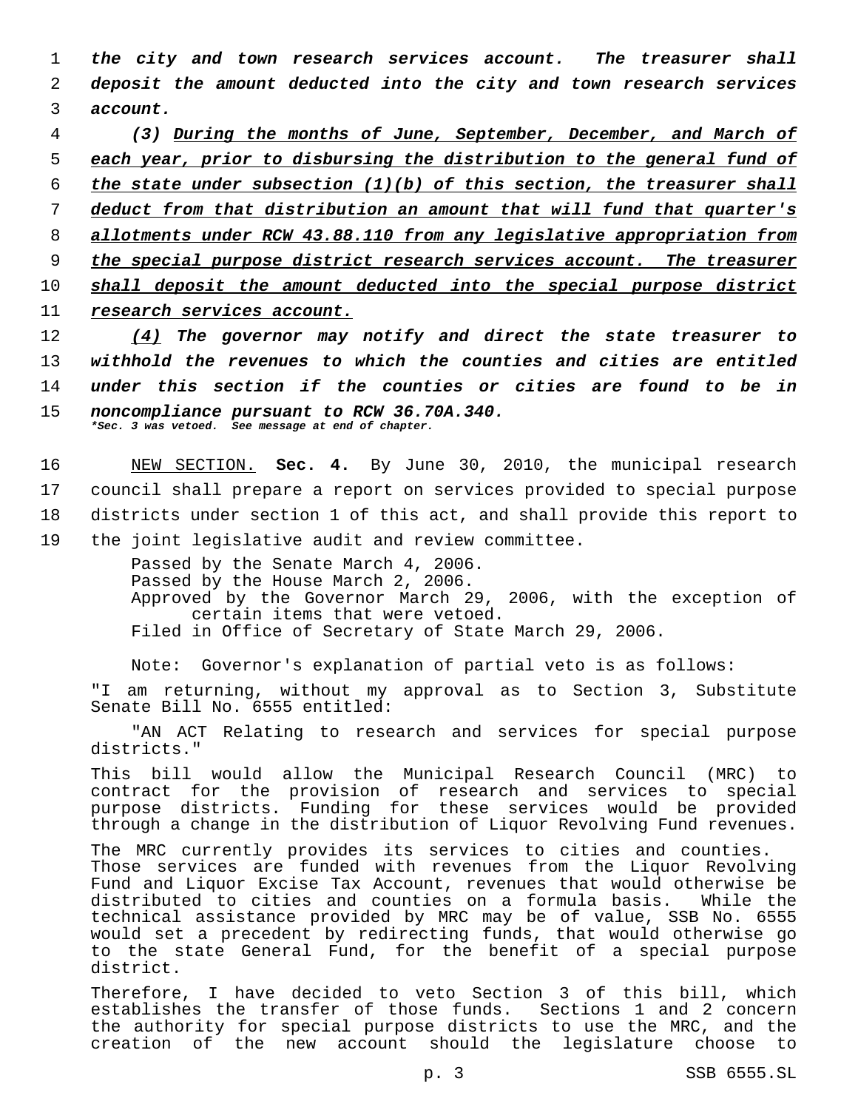1 *the city and town research services account. The treasurer shall* 2 *deposit the amount deducted into the city and town research services* 3 *account.*

 *(3) During the months of June, September, December, and March of each year, prior to disbursing the distribution to the general fund of the state under subsection (1)(b) of this section, the treasurer shall deduct from that distribution an amount that will fund that quarter's allotments under RCW 43.88.110 from any legislative appropriation from the special purpose district research services account. The treasurer shall deposit the amount deducted into the special purpose district research services account.*

 *(4) The governor may notify and direct the state treasurer to withhold the revenues to which the counties and cities are entitled under this section if the counties or cities are found to be in noncompliance pursuant to RCW 36.70A.340. \*Sec. 3 was vetoed. See message at end of chapter.*

 NEW SECTION. **Sec. 4.** By June 30, 2010, the municipal research council shall prepare a report on services provided to special purpose districts under section 1 of this act, and shall provide this report to the joint legislative audit and review committee.

> Passed by the Senate March 4, 2006. Passed by the House March 2, 2006. Approved by the Governor March 29, 2006, with the exception of certain items that were vetoed. Filed in Office of Secretary of State March 29, 2006.

Note: Governor's explanation of partial veto is as follows:

"I am returning, without my approval as to Section 3, Substitute Senate Bill No. 6555 entitled:

"AN ACT Relating to research and services for special purpose districts."

This bill would allow the Municipal Research Council (MRC) to contract for the provision of research and services to special purpose districts. Funding for these services would be provided through a change in the distribution of Liquor Revolving Fund revenues.

The MRC currently provides its services to cities and counties. Those services are funded with revenues from the Liquor Revolving Fund and Liquor Excise Tax Account, revenues that would otherwise be distributed to cities and counties on a formula basis. While the technical assistance provided by MRC may be of value, SSB No. 6555 would set a precedent by redirecting funds, that would otherwise go to the state General Fund, for the benefit of a special purpose district.

Therefore, I have decided to veto Section 3 of this bill, which establishes the transfer of those funds. Sections 1 and 2 concern the authority for special purpose districts to use the MRC, and the creation of the new account should the legislature choose to